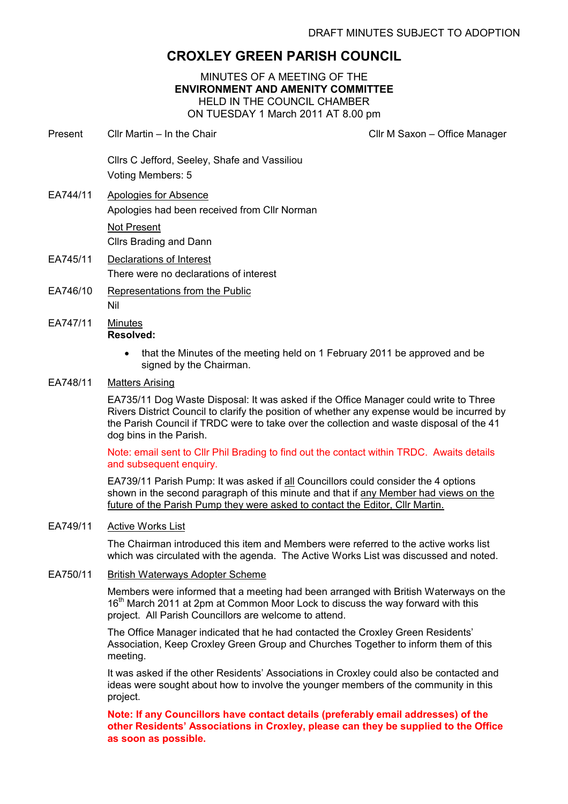# CROXLEY GREEN PARISH COUNCIL

MINUTES OF A MEETING OF THE ENVIRONMENT AND AMENITY COMMITTEE HELD IN THE COUNCIL CHAMBER ON TUESDAY 1 March 2011 AT 8.00 pm

Present Cllr Martin – In the Chair Click Client Clir M Saxon – Office Manager

Cllrs C Jefford, Seeley, Shafe and Vassiliou Voting Members: 5

- EA744/11 Apologies for Absence Apologies had been received from Cllr Norman Not Present Cllrs Brading and Dann
- EA745/11 Declarations of Interest There were no declarations of interest
- EA746/10 Representations from the Public Nil
- EA747/11 Minutes Resolved:
	- that the Minutes of the meeting held on 1 February 2011 be approved and be signed by the Chairman.
- EA748/11 Matters Arising

EA735/11 Dog Waste Disposal: It was asked if the Office Manager could write to Three Rivers District Council to clarify the position of whether any expense would be incurred by the Parish Council if TRDC were to take over the collection and waste disposal of the 41 dog bins in the Parish.

Note: email sent to Cllr Phil Brading to find out the contact within TRDC. Awaits details and subsequent enquiry.

EA739/11 Parish Pump: It was asked if all Councillors could consider the 4 options shown in the second paragraph of this minute and that if any Member had views on the future of the Parish Pump they were asked to contact the Editor, Cllr Martin.

# EA749/11 Active Works List

The Chairman introduced this item and Members were referred to the active works list which was circulated with the agenda. The Active Works List was discussed and noted.

# EA750/11 British Waterways Adopter Scheme

Members were informed that a meeting had been arranged with British Waterways on the 16<sup>th</sup> March 2011 at 2pm at Common Moor Lock to discuss the way forward with this project. All Parish Councillors are welcome to attend.

The Office Manager indicated that he had contacted the Croxley Green Residents' Association, Keep Croxley Green Group and Churches Together to inform them of this meeting.

It was asked if the other Residents' Associations in Croxley could also be contacted and ideas were sought about how to involve the younger members of the community in this project.

Note: If any Councillors have contact details (preferably email addresses) of the other Residents' Associations in Croxley, please can they be supplied to the Office as soon as possible.